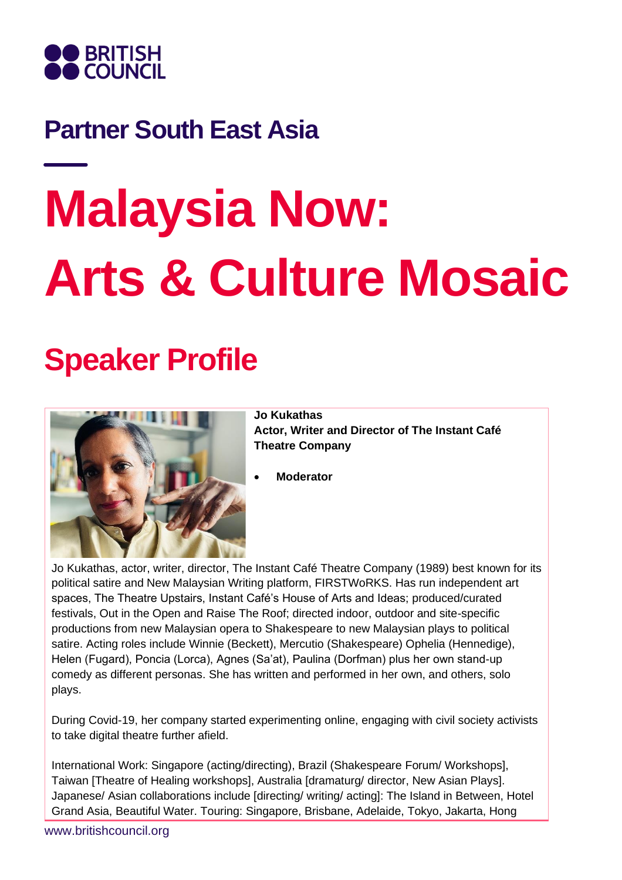

### **Partner South East Asia**

# **Malaysia Now: Arts & Culture Mosaic**

## **Speaker Profile**



**Jo Kukathas Actor, Writer and Director of The Instant Café Theatre Company**

• **Moderator**

Jo Kukathas, actor, writer, director, The Instant Café Theatre Company (1989) best known for its political satire and New Malaysian Writing platform, FIRSTWoRKS. Has run independent art spaces, The Theatre Upstairs, Instant Café's House of Arts and Ideas; produced/curated festivals, Out in the Open and Raise The Roof; directed indoor, outdoor and site-specific productions from new Malaysian opera to Shakespeare to new Malaysian plays to political satire. Acting roles include Winnie (Beckett), Mercutio (Shakespeare) Ophelia (Hennedige), Helen (Fugard), Poncia (Lorca), Agnes (Sa'at), Paulina (Dorfman) plus her own stand-up comedy as different personas. She has written and performed in her own, and others, solo plays.

During Covid-19, her company started experimenting online, engaging with civil society activists to take digital theatre further afield.

International Work: Singapore (acting/directing), Brazil (Shakespeare Forum/ Workshops], Taiwan [Theatre of Healing workshops], Australia [dramaturg/ director, New Asian Plays]. Japanese/ Asian collaborations include [directing/ writing/ acting]: The Island in Between, Hotel Grand Asia, Beautiful Water. Touring: Singapore, Brisbane, Adelaide, Tokyo, Jakarta, Hong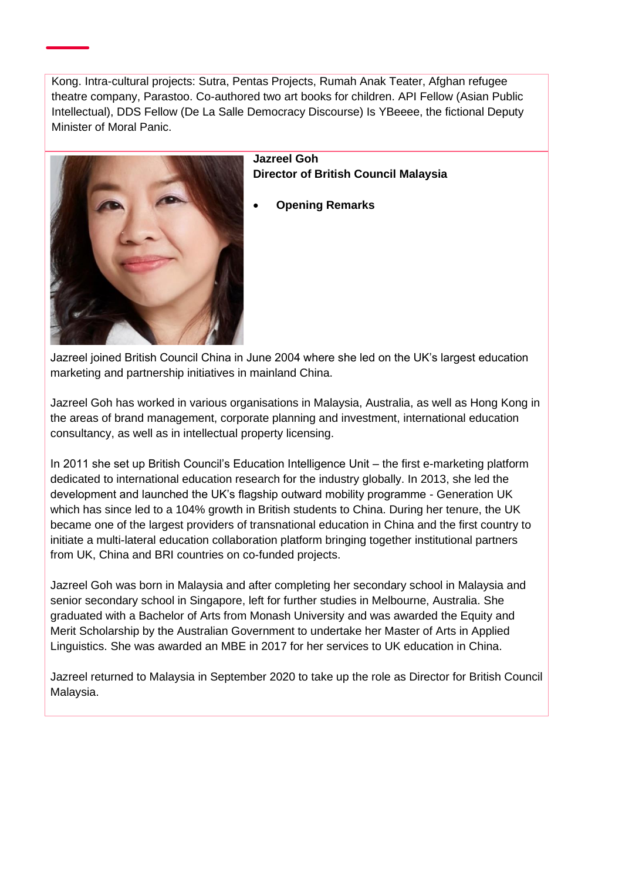Kong. Intra-cultural projects: Sutra, Pentas Projects, Rumah Anak Teater, Afghan refugee theatre company, Parastoo. Co-authored two art books for children. API Fellow (Asian Public Intellectual), DDS Fellow (De La Salle Democracy Discourse) Is YBeeee, the fictional Deputy Minister of Moral Panic.



#### **Jazreel Goh Director of British Council Malaysia**

• **Opening Remarks**

Jazreel joined British Council China in June 2004 where she led on the UK's largest education marketing and partnership initiatives in mainland China.

Jazreel Goh has worked in various organisations in Malaysia, Australia, as well as Hong Kong in the areas of brand management, corporate planning and investment, international education consultancy, as well as in intellectual property licensing.

In 2011 she set up British Council's Education Intelligence Unit – the first e-marketing platform dedicated to international education research for the industry globally. In 2013, she led the development and launched the UK's flagship outward mobility programme - Generation UK which has since led to a 104% growth in British students to China. During her tenure, the UK became one of the largest providers of transnational education in China and the first country to initiate a multi-lateral education collaboration platform bringing together institutional partners from UK, China and BRI countries on co-funded projects.

Jazreel Goh was born in Malaysia and after completing her secondary school in Malaysia and senior secondary school in Singapore, left for further studies in Melbourne, Australia. She graduated with a Bachelor of Arts from Monash University and was awarded the Equity and Merit Scholarship by the Australian Government to undertake her Master of Arts in Applied Linguistics. She was awarded an MBE in 2017 for her services to UK education in China.

Jazreel returned to Malaysia in September 2020 to take up the role as Director for British Council Malaysia.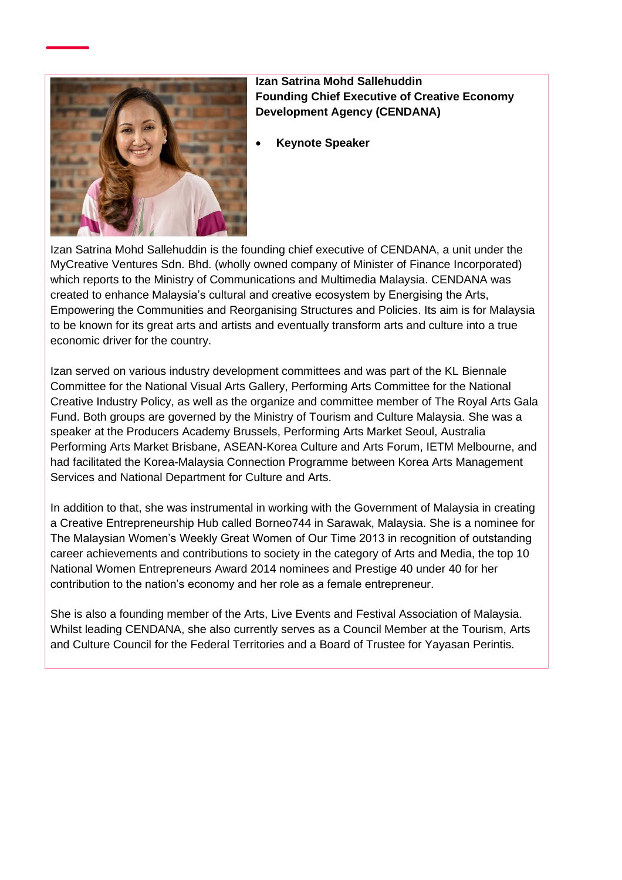

**Izan Satrina Mohd Sallehuddin Founding Chief Executive of Creative Economy Development Agency (CENDANA)**

• **Keynote Speaker**

Izan Satrina Mohd Sallehuddin is the founding chief executive of CENDANA, a unit under the MyCreative Ventures Sdn. Bhd. (wholly owned company of Minister of Finance Incorporated) which reports to the Ministry of Communications and Multimedia Malaysia. CENDANA was created to enhance Malaysia's cultural and creative ecosystem by Energising the Arts, Empowering the Communities and Reorganising Structures and Policies. Its aim is for Malaysia to be known for its great arts and artists and eventually transform arts and culture into a true economic driver for the country.

Izan served on various industry development committees and was part of the KL Biennale Committee for the National Visual Arts Gallery, Performing Arts Committee for the National Creative Industry Policy, as well as the organize and committee member of The Royal Arts Gala Fund. Both groups are governed by the Ministry of Tourism and Culture Malaysia. She was a speaker at the Producers Academy Brussels, Performing Arts Market Seoul, Australia Performing Arts Market Brisbane, ASEAN-Korea Culture and Arts Forum, IETM Melbourne, and had facilitated the Korea-Malaysia Connection Programme between Korea Arts Management Services and National Department for Culture and Arts.

In addition to that, she was instrumental in working with the Government of Malaysia in creating a Creative Entrepreneurship Hub called Borneo744 in Sarawak, Malaysia. She is a nominee for The Malaysian Women's Weekly Great Women of Our Time 2013 in recognition of outstanding career achievements and contributions to society in the category of Arts and Media, the top 10 National Women Entrepreneurs Award 2014 nominees and Prestige 40 under 40 for her contribution to the nation's economy and her role as a female entrepreneur.

She is also a founding member of the Arts, Live Events and Festival Association of Malaysia. Whilst leading CENDANA, she also currently serves as a Council Member at the Tourism, Arts and Culture Council for the Federal Territories and a Board of Trustee for Yayasan Perintis.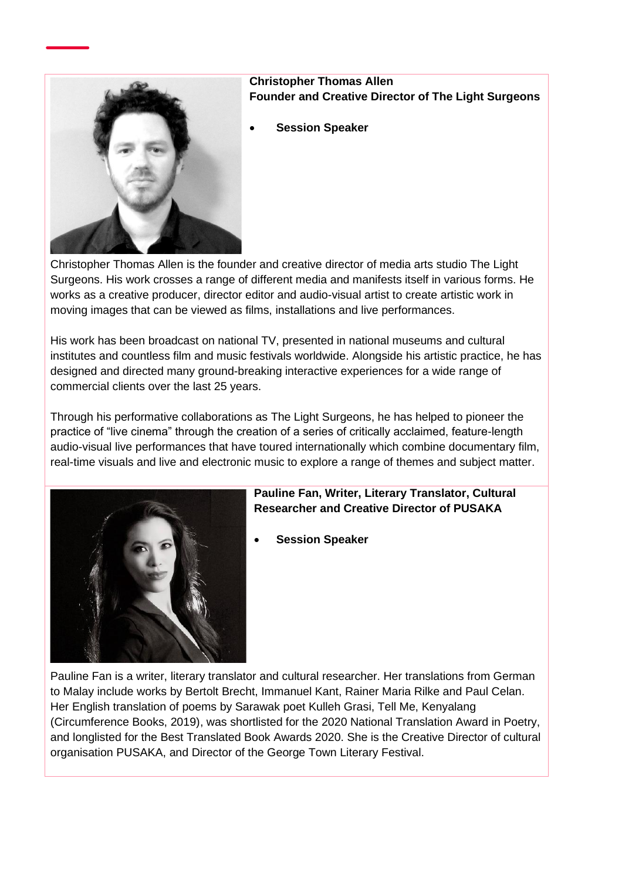

#### **Christopher Thomas Allen Founder and Creative Director of The Light Surgeons**

• **Session Speaker**

Christopher Thomas Allen is the founder and creative director of media arts studio The Light Surgeons. His work crosses a range of different media and manifests itself in various forms. He works as a creative producer, director editor and audio-visual artist to create artistic work in moving images that can be viewed as films, installations and live performances.

His work has been broadcast on national TV, presented in national museums and cultural institutes and countless film and music festivals worldwide. Alongside his artistic practice, he has designed and directed many ground-breaking interactive experiences for a wide range of commercial clients over the last 25 years.

Through his performative collaborations as The Light Surgeons, he has helped to pioneer the practice of "live cinema" through the creation of a series of critically acclaimed, feature-length audio-visual live performances that have toured internationally which combine documentary film, real-time visuals and live and electronic music to explore a range of themes and subject matter.



#### **Pauline Fan, Writer, Literary Translator, Cultural Researcher and Creative Director of PUSAKA**

• **Session Speaker**

Pauline Fan is a writer, literary translator and cultural researcher. Her translations from German to Malay include works by Bertolt Brecht, Immanuel Kant, Rainer Maria Rilke and Paul Celan. Her English translation of poems by Sarawak poet Kulleh Grasi, Tell Me, Kenyalang (Circumference Books, 2019), was shortlisted for the 2020 National Translation Award in Poetry, and longlisted for the Best Translated Book Awards 2020. She is the Creative Director of cultural organisation PUSAKA, and Director of the George Town Literary Festival.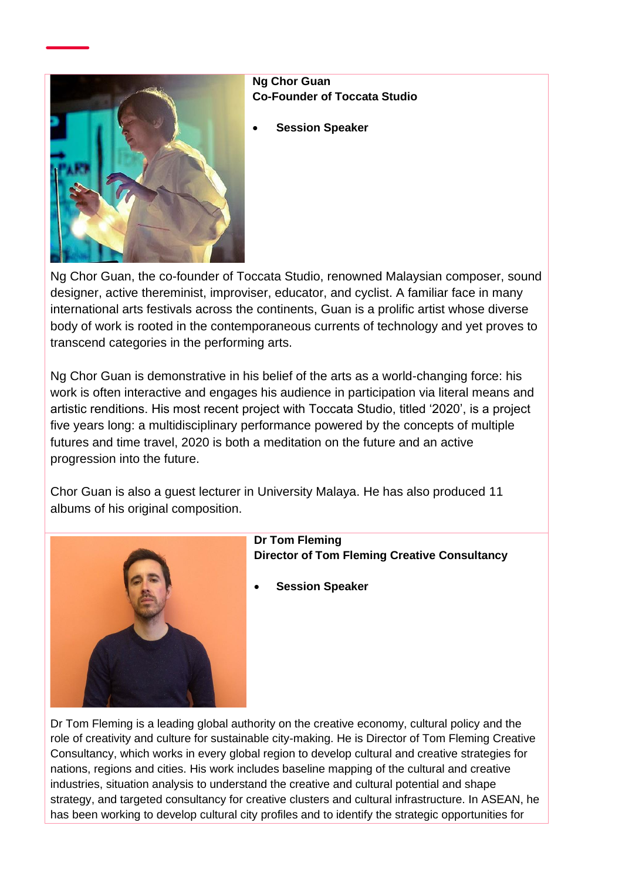

#### **Ng Chor Guan Co-Founder of Toccata Studio**

• **Session Speaker**

Ng Chor Guan, the co-founder of Toccata Studio, renowned Malaysian composer, sound designer, active thereminist, improviser, educator, and cyclist. A familiar face in many international arts festivals across the continents, Guan is a prolific artist whose diverse body of work is rooted in the contemporaneous currents of technology and yet proves to transcend categories in the performing arts.

Ng Chor Guan is demonstrative in his belief of the arts as a world-changing force: his work is often interactive and engages his audience in participation via literal means and artistic renditions. His most recent project with Toccata Studio, titled '2020', is a project five years long: a multidisciplinary performance powered by the concepts of multiple futures and time travel, 2020 is both a meditation on the future and an active progression into the future.

Chor Guan is also a guest lecturer in University Malaya. He has also produced 11 albums of his original composition.



**Dr Tom Fleming Director of Tom Fleming Creative Consultancy**

• **Session Speaker**

Dr Tom Fleming is a leading global authority on the creative economy, cultural policy and the role of creativity and culture for sustainable city-making. He is Director of Tom Fleming Creative Consultancy, which works in every global region to develop cultural and creative strategies for nations, regions and cities. His work includes baseline mapping of the cultural and creative industries, situation analysis to understand the creative and cultural potential and shape strategy, and targeted consultancy for creative clusters and cultural infrastructure. In ASEAN, he has been working to develop cultural city profiles and to identify the strategic opportunities for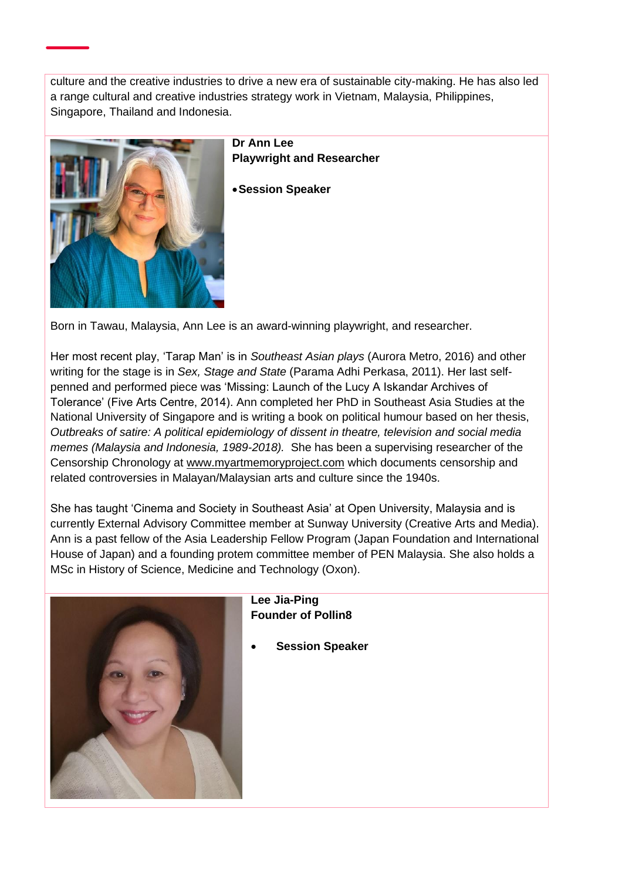culture and the creative industries to drive a new era of sustainable city-making. He has also led a range cultural and creative industries strategy work in Vietnam, Malaysia, Philippines, Singapore, Thailand and Indonesia.



**Dr Ann Lee Playwright and Researcher**

•**Session Speaker**

Born in Tawau, Malaysia, Ann Lee is an award-winning playwright, and researcher.

Her most recent play, 'Tarap Man' is in *Southeast Asian plays* (Aurora Metro, 2016) and other writing for the stage is in *Sex, Stage and State* (Parama Adhi Perkasa, 2011). Her last selfpenned and performed piece was 'Missing: Launch of the Lucy A Iskandar Archives of Tolerance' (Five Arts Centre, 2014). Ann completed her PhD in Southeast Asia Studies at the National University of Singapore and is writing a book on political humour based on her thesis, *Outbreaks of satire: A political epidemiology of dissent in theatre, television and social media memes (Malaysia and Indonesia, 1989-2018).* She has been a supervising researcher of the Censorship Chronology at [www.myartmemoryproject.com](http://www.myartmemoryproject.com/) which documents censorship and related controversies in Malayan/Malaysian arts and culture since the 1940s.

She has taught 'Cinema and Society in Southeast Asia' at Open University, Malaysia and is currently External Advisory Committee member at Sunway University (Creative Arts and Media). Ann is a past fellow of the Asia Leadership Fellow Program (Japan Foundation and International House of Japan) and a founding protem committee member of PEN Malaysia. She also holds a MSc in History of Science, Medicine and Technology (Oxon).



#### **Lee Jia-Ping Founder of Pollin8**

• **Session Speaker**